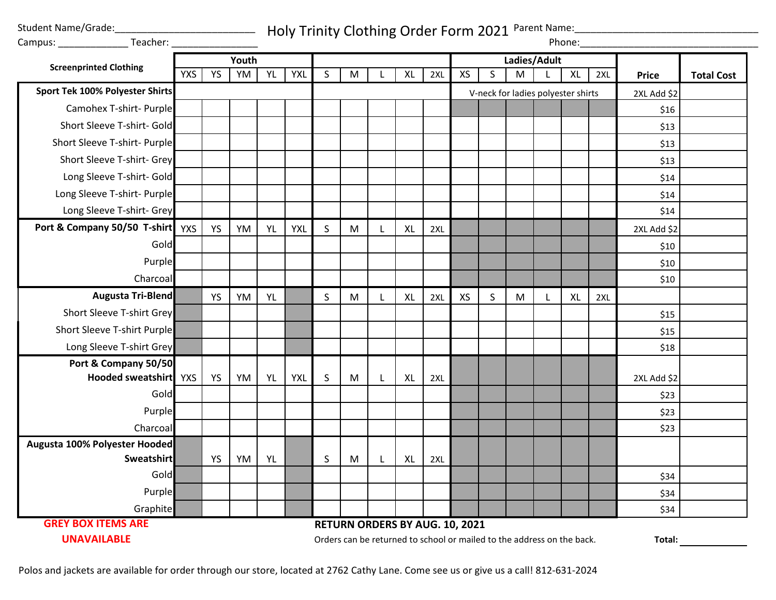Student Name/Grade:

Campus: \_\_\_\_\_\_\_\_\_\_\_\_\_ Teacher: \_\_\_\_\_\_\_\_\_\_\_\_\_\_\_\_

Holy Trinity Clothing Order Form 2021 Parent Name:

| Campus: ____________________Teacher:            |            |           |    |           |            |         |                                |   |              |     |    |              |                                                                        |   | Phone:    |     |              |                   |
|-------------------------------------------------|------------|-----------|----|-----------|------------|---------|--------------------------------|---|--------------|-----|----|--------------|------------------------------------------------------------------------|---|-----------|-----|--------------|-------------------|
| <b>Screenprinted Clothing</b>                   | Youth      |           |    |           |            |         |                                |   | Ladies/Adult |     |    |              |                                                                        |   |           |     |              |                   |
|                                                 | <b>YXS</b> | <b>YS</b> | YM | <b>YL</b> | <b>YXL</b> | S       | M                              |   | XL           | 2XL | XS | $\mathsf{S}$ | M                                                                      | L | <b>XL</b> | 2XL | <b>Price</b> | <b>Total Cost</b> |
| <b>Sport Tek 100% Polyester Shirts</b>          |            |           |    |           |            |         |                                |   |              |     |    |              | V-neck for ladies polyester shirts                                     |   |           |     | 2XL Add \$2  |                   |
| Camohex T-shirt- Purple                         |            |           |    |           |            |         |                                |   |              |     |    |              |                                                                        |   |           |     | \$16         |                   |
| Short Sleeve T-shirt- Gold                      |            |           |    |           |            |         |                                |   |              |     |    |              |                                                                        |   |           |     | \$13         |                   |
| Short Sleeve T-shirt- Purple                    |            |           |    |           |            |         |                                |   |              |     |    |              |                                                                        |   |           |     | \$13         |                   |
| Short Sleeve T-shirt- Grey                      |            |           |    |           |            |         |                                |   |              |     |    |              |                                                                        |   |           |     | \$13         |                   |
| Long Sleeve T-shirt- Gold                       |            |           |    |           |            |         |                                |   |              |     |    |              |                                                                        |   |           |     | \$14         |                   |
| Long Sleeve T-shirt- Purple                     |            |           |    |           |            |         |                                |   |              |     |    |              |                                                                        |   |           |     | \$14         |                   |
| Long Sleeve T-shirt- Grey                       |            |           |    |           |            |         |                                |   |              |     |    |              |                                                                        |   |           |     | \$14         |                   |
| Port & Company 50/50 T-shirt                    | YXS        | YS        | YM | <b>YL</b> | <b>YXL</b> | $\sf S$ | M                              | L | <b>XL</b>    | 2XL |    |              |                                                                        |   |           |     | 2XL Add \$2  |                   |
| Gold                                            |            |           |    |           |            |         |                                |   |              |     |    |              |                                                                        |   |           |     | \$10         |                   |
| Purple                                          |            |           |    |           |            |         |                                |   |              |     |    |              |                                                                        |   |           |     | \$10         |                   |
| Charcoal                                        |            |           |    |           |            |         |                                |   |              |     |    |              |                                                                        |   |           |     | \$10         |                   |
| <b>Augusta Tri-Blend</b>                        |            | <b>YS</b> | YM | YL        |            | S       | M                              |   | XL           | 2XL | XS | $\mathsf S$  | M                                                                      | L | <b>XL</b> | 2XL |              |                   |
| <b>Short Sleeve T-shirt Grey</b>                |            |           |    |           |            |         |                                |   |              |     |    |              |                                                                        |   |           |     | \$15         |                   |
| Short Sleeve T-shirt Purple                     |            |           |    |           |            |         |                                |   |              |     |    |              |                                                                        |   |           |     | \$15         |                   |
| Long Sleeve T-shirt Grey                        |            |           |    |           |            |         |                                |   |              |     |    |              |                                                                        |   |           |     | \$18         |                   |
| Port & Company 50/50                            |            |           |    |           |            |         |                                |   |              |     |    |              |                                                                        |   |           |     |              |                   |
| Hooded sweatshirt                               | <b>YXS</b> | <b>YS</b> | YM | YL        | <b>YXL</b> | S       | M                              |   | XL           | 2XL |    |              |                                                                        |   |           |     | 2XL Add \$2  |                   |
| Gold                                            |            |           |    |           |            |         |                                |   |              |     |    |              |                                                                        |   |           |     | \$23         |                   |
| Purple                                          |            |           |    |           |            |         |                                |   |              |     |    |              |                                                                        |   |           |     | \$23         |                   |
| Charcoal                                        |            |           |    |           |            |         |                                |   |              |     |    |              |                                                                        |   |           |     | \$23         |                   |
| Augusta 100% Polyester Hooded                   |            |           |    |           |            |         |                                |   |              |     |    |              |                                                                        |   |           |     |              |                   |
| <b>Sweatshirt</b>                               |            | <b>YS</b> | YM | YL        |            | S       | M                              |   | XL           | 2XL |    |              |                                                                        |   |           |     |              |                   |
| Gold                                            |            |           |    |           |            |         |                                |   |              |     |    |              |                                                                        |   |           |     | \$34         |                   |
| Purple                                          |            |           |    |           |            |         |                                |   |              |     |    |              |                                                                        |   |           |     | \$34         |                   |
| Graphite                                        |            |           |    |           |            |         |                                |   |              |     |    |              |                                                                        |   |           |     | \$34         |                   |
| <b>GREY BOX ITEMS ARE</b><br><b>UNAVAILABLE</b> |            |           |    |           |            |         | RETURN ORDERS BY AUG. 10, 2021 |   |              |     |    |              |                                                                        |   |           |     |              |                   |
|                                                 |            |           |    |           |            |         |                                |   |              |     |    |              | Orders can be returned to school or mailed to the address on the back. |   |           |     | Total:       |                   |